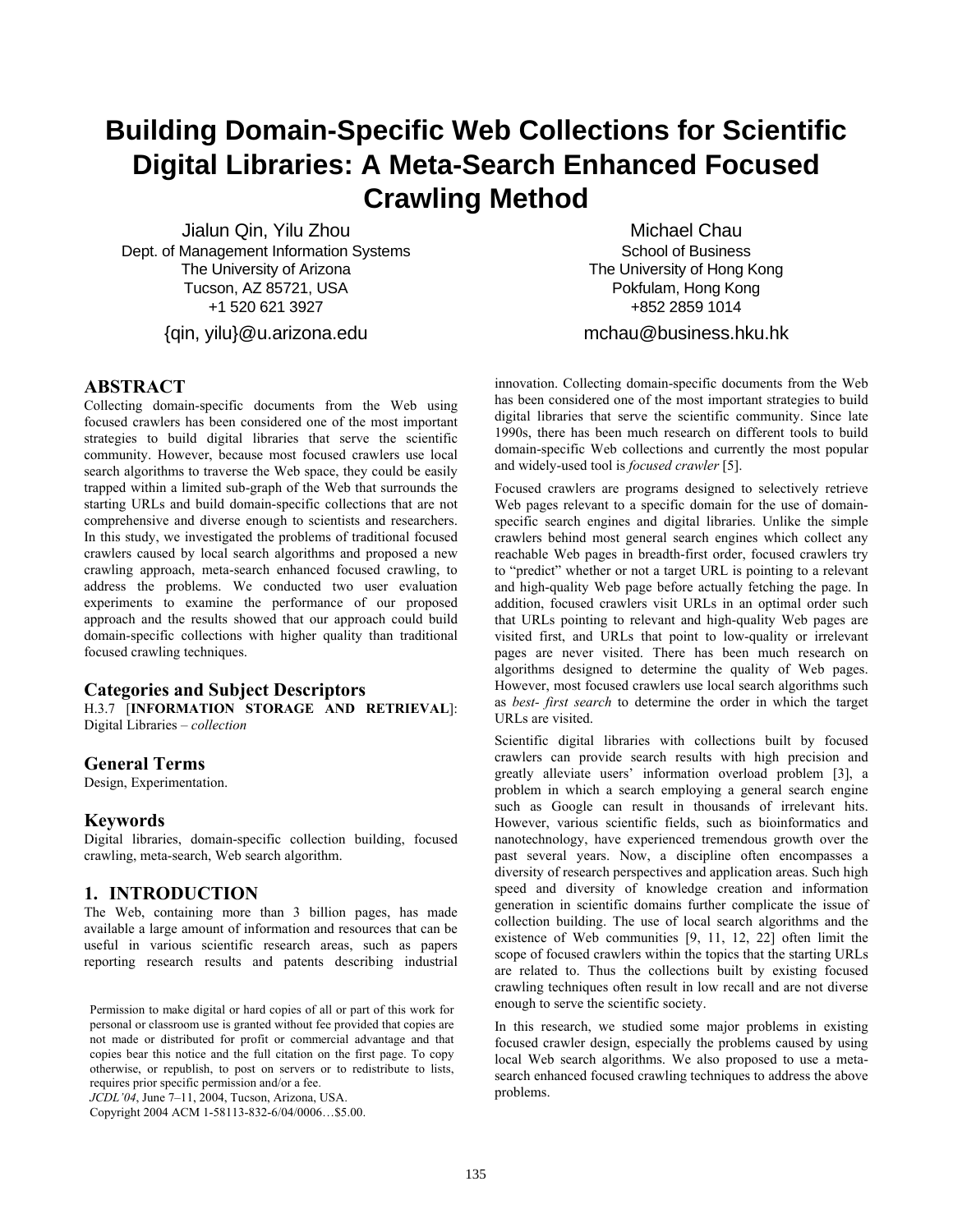# **Building Domain-Specific Web Collections for Scientific Digital Libraries: A Meta-Search Enhanced Focused Crawling Method**

Jialun Qin, Yilu Zhou Dept. of Management Information Systems The University of Arizona Tucson, AZ 85721, USA +1 520 621 3927

{qin, yilu}@u.arizona.edu

#### **ABSTRACT**

Collecting domain-specific documents from the Web using focused crawlers has been considered one of the most important strategies to build digital libraries that serve the scientific community. However, because most focused crawlers use local search algorithms to traverse the Web space, they could be easily trapped within a limited sub-graph of the Web that surrounds the starting URLs and build domain-specific collections that are not comprehensive and diverse enough to scientists and researchers. In this study, we investigated the problems of traditional focused crawlers caused by local search algorithms and proposed a new crawling approach, meta-search enhanced focused crawling, to address the problems. We conducted two user evaluation experiments to examine the performance of our proposed approach and the results showed that our approach could build domain-specific collections with higher quality than traditional focused crawling techniques.

#### **Categories and Subject Descriptors** H.3.7 [**INFORMATION STORAGE AND RETRIEVAL**]:

Digital Libraries – *collection* 

#### **General Terms**

Design, Experimentation.

#### **Keywords**

Digital libraries, domain-specific collection building, focused crawling, meta-search, Web search algorithm.

#### **1. INTRODUCTION**

The Web, containing more than 3 billion pages, has made available a large amount of information and resources that can be useful in various scientific research areas, such as papers reporting research results and patents describing industrial

Permission to make digital or hard copies of all or part of this work for personal or classroom use is granted without fee provided that copies are not made or distributed for profit or commercial advantage and that copies bear this notice and the full citation on the first page. To copy otherwise, or republish, to post on servers or to redistribute to lists, requires prior specific permission and/or a fee.

*JCDL'04*, June 7–11, 2004, Tucson, Arizona, USA.

Copyright 2004 ACM 1-58113-832-6/04/0006…\$5.00.

Michael Chau School of Business The University of Hong Kong Pokfulam, Hong Kong +852 2859 1014

## mchau@business.hku.hk

innovation. Collecting domain-specific documents from the Web has been considered one of the most important strategies to build digital libraries that serve the scientific community. Since late 1990s, there has been much research on different tools to build domain-specific Web collections and currently the most popular and widely-used tool is *focused crawler* [5].

Focused crawlers are programs designed to selectively retrieve Web pages relevant to a specific domain for the use of domainspecific search engines and digital libraries. Unlike the simple crawlers behind most general search engines which collect any reachable Web pages in breadth-first order, focused crawlers try to "predict" whether or not a target URL is pointing to a relevant and high-quality Web page before actually fetching the page. In addition, focused crawlers visit URLs in an optimal order such that URLs pointing to relevant and high-quality Web pages are visited first, and URLs that point to low-quality or irrelevant pages are never visited. There has been much research on algorithms designed to determine the quality of Web pages. However, most focused crawlers use local search algorithms such as *best- first search* to determine the order in which the target URLs are visited.

Scientific digital libraries with collections built by focused crawlers can provide search results with high precision and greatly alleviate users' information overload problem [3], a problem in which a search employing a general search engine such as Google can result in thousands of irrelevant hits. However, various scientific fields, such as bioinformatics and nanotechnology, have experienced tremendous growth over the past several years. Now, a discipline often encompasses a diversity of research perspectives and application areas. Such high speed and diversity of knowledge creation and information generation in scientific domains further complicate the issue of collection building. The use of local search algorithms and the existence of Web communities [9, 11, 12, 22] often limit the scope of focused crawlers within the topics that the starting URLs are related to. Thus the collections built by existing focused crawling techniques often result in low recall and are not diverse enough to serve the scientific society.

In this research, we studied some major problems in existing focused crawler design, especially the problems caused by using local Web search algorithms. We also proposed to use a metasearch enhanced focused crawling techniques to address the above problems.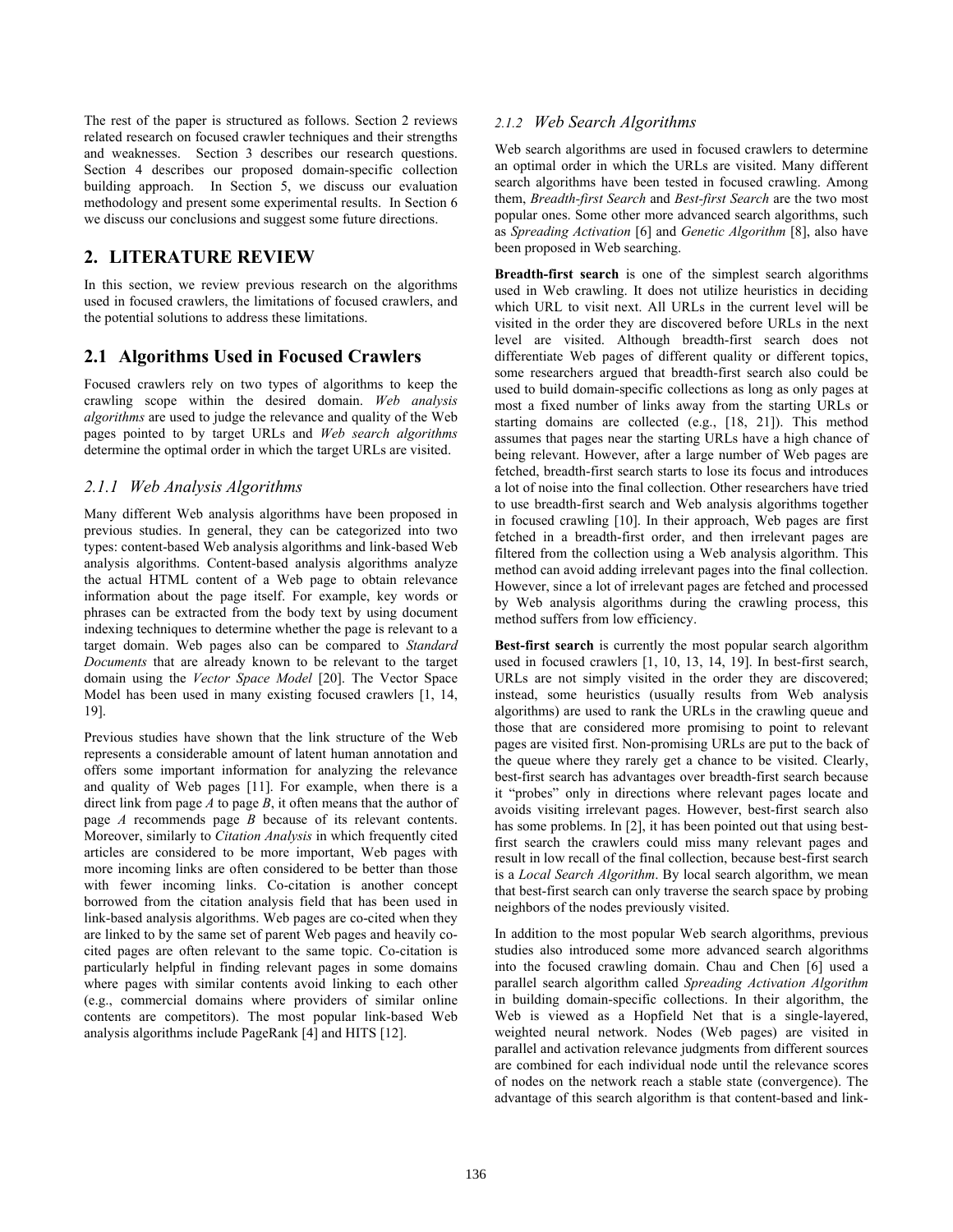The rest of the paper is structured as follows. Section 2 reviews related research on focused crawler techniques and their strengths and weaknesses. Section 3 describes our research questions. Section 4 describes our proposed domain-specific collection building approach. In Section 5, we discuss our evaluation methodology and present some experimental results. In Section 6 we discuss our conclusions and suggest some future directions.

# **2. LITERATURE REVIEW**

In this section, we review previous research on the algorithms used in focused crawlers, the limitations of focused crawlers, and the potential solutions to address these limitations.

## **2.1 Algorithms Used in Focused Crawlers**

Focused crawlers rely on two types of algorithms to keep the crawling scope within the desired domain. *Web analysis algorithms* are used to judge the relevance and quality of the Web pages pointed to by target URLs and *Web search algorithms* determine the optimal order in which the target URLs are visited.

## *2.1.1 Web Analysis Algorithms*

Many different Web analysis algorithms have been proposed in previous studies. In general, they can be categorized into two types: content-based Web analysis algorithms and link-based Web analysis algorithms. Content-based analysis algorithms analyze the actual HTML content of a Web page to obtain relevance information about the page itself. For example, key words or phrases can be extracted from the body text by using document indexing techniques to determine whether the page is relevant to a target domain. Web pages also can be compared to *Standard Documents* that are already known to be relevant to the target domain using the *Vector Space Model* [20]. The Vector Space Model has been used in many existing focused crawlers [1, 14, 19].

Previous studies have shown that the link structure of the Web represents a considerable amount of latent human annotation and offers some important information for analyzing the relevance and quality of Web pages [11]. For example, when there is a direct link from page *A* to page *B*, it often means that the author of page *A* recommends page *B* because of its relevant contents. Moreover, similarly to *Citation Analysis* in which frequently cited articles are considered to be more important, Web pages with more incoming links are often considered to be better than those with fewer incoming links. Co-citation is another concept borrowed from the citation analysis field that has been used in link-based analysis algorithms. Web pages are co-cited when they are linked to by the same set of parent Web pages and heavily cocited pages are often relevant to the same topic. Co-citation is particularly helpful in finding relevant pages in some domains where pages with similar contents avoid linking to each other (e.g., commercial domains where providers of similar online contents are competitors). The most popular link-based Web analysis algorithms include PageRank [4] and HITS [12].

## *2.1.2 Web Search Algorithms*

Web search algorithms are used in focused crawlers to determine an optimal order in which the URLs are visited. Many different search algorithms have been tested in focused crawling. Among them, *Breadth-first Search* and *Best-first Search* are the two most popular ones. Some other more advanced search algorithms, such as *Spreading Activation* [6] and *Genetic Algorithm* [8], also have been proposed in Web searching.

**Breadth-first search** is one of the simplest search algorithms used in Web crawling. It does not utilize heuristics in deciding which URL to visit next. All URLs in the current level will be visited in the order they are discovered before URLs in the next level are visited. Although breadth-first search does not differentiate Web pages of different quality or different topics, some researchers argued that breadth-first search also could be used to build domain-specific collections as long as only pages at most a fixed number of links away from the starting URLs or starting domains are collected (e.g., [18, 21]). This method assumes that pages near the starting URLs have a high chance of being relevant. However, after a large number of Web pages are fetched, breadth-first search starts to lose its focus and introduces a lot of noise into the final collection. Other researchers have tried to use breadth-first search and Web analysis algorithms together in focused crawling [10]. In their approach, Web pages are first fetched in a breadth-first order, and then irrelevant pages are filtered from the collection using a Web analysis algorithm. This method can avoid adding irrelevant pages into the final collection. However, since a lot of irrelevant pages are fetched and processed by Web analysis algorithms during the crawling process, this method suffers from low efficiency.

**Best-first search** is currently the most popular search algorithm used in focused crawlers [1, 10, 13, 14, 19]. In best-first search, URLs are not simply visited in the order they are discovered; instead, some heuristics (usually results from Web analysis algorithms) are used to rank the URLs in the crawling queue and those that are considered more promising to point to relevant pages are visited first. Non-promising URLs are put to the back of the queue where they rarely get a chance to be visited. Clearly, best-first search has advantages over breadth-first search because it "probes" only in directions where relevant pages locate and avoids visiting irrelevant pages. However, best-first search also has some problems. In [2], it has been pointed out that using bestfirst search the crawlers could miss many relevant pages and result in low recall of the final collection, because best-first search is a *Local Search Algorithm*. By local search algorithm, we mean that best-first search can only traverse the search space by probing neighbors of the nodes previously visited.

In addition to the most popular Web search algorithms, previous studies also introduced some more advanced search algorithms into the focused crawling domain. Chau and Chen [6] used a parallel search algorithm called *Spreading Activation Algorithm* in building domain-specific collections. In their algorithm, the Web is viewed as a Hopfield Net that is a single-layered, weighted neural network. Nodes (Web pages) are visited in parallel and activation relevance judgments from different sources are combined for each individual node until the relevance scores of nodes on the network reach a stable state (convergence). The advantage of this search algorithm is that content-based and link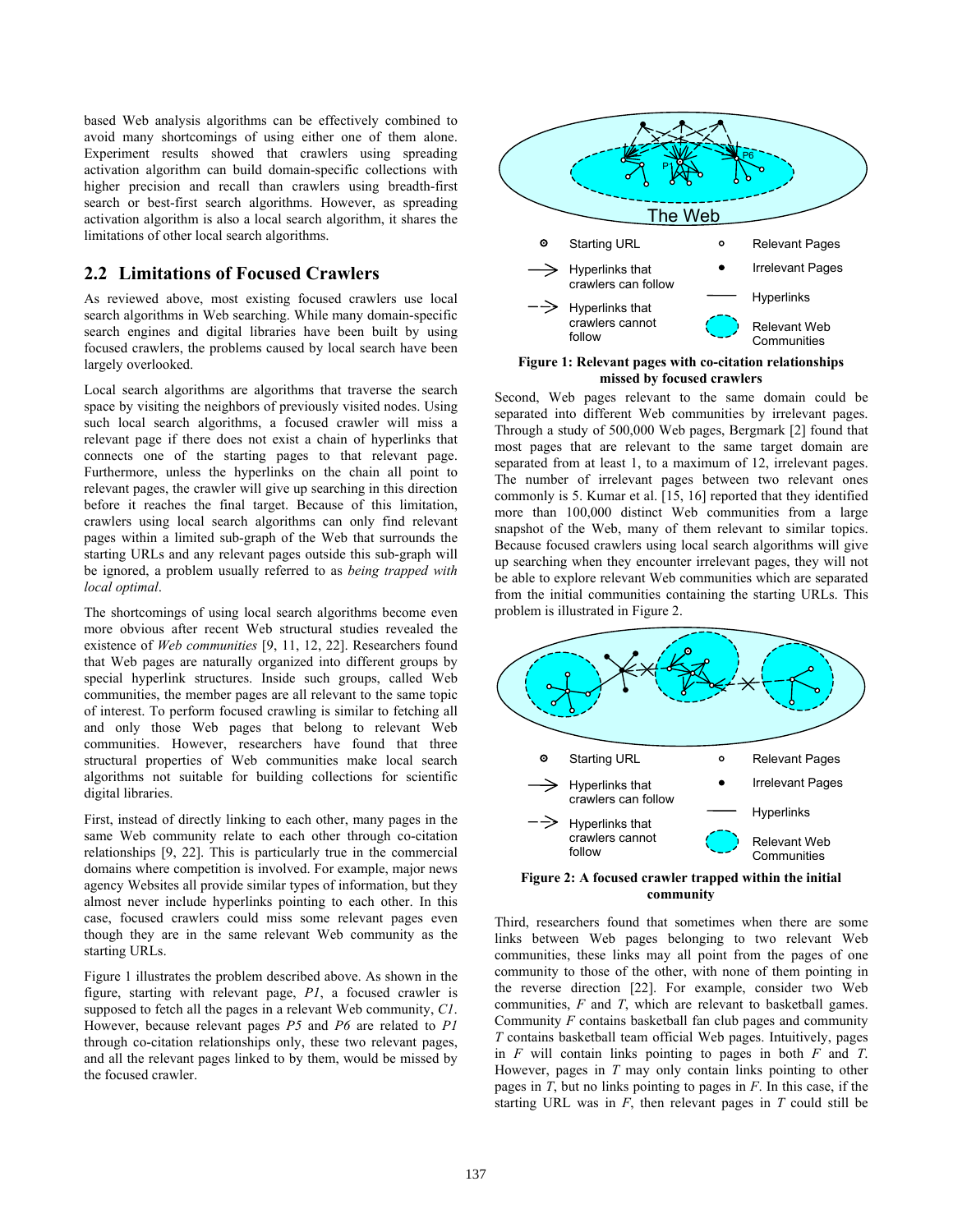based Web analysis algorithms can be effectively combined to avoid many shortcomings of using either one of them alone. Experiment results showed that crawlers using spreading activation algorithm can build domain-specific collections with higher precision and recall than crawlers using breadth-first search or best-first search algorithms. However, as spreading activation algorithm is also a local search algorithm, it shares the limitations of other local search algorithms.

## **2.2 Limitations of Focused Crawlers**

As reviewed above, most existing focused crawlers use local search algorithms in Web searching. While many domain-specific search engines and digital libraries have been built by using focused crawlers, the problems caused by local search have been largely overlooked.

Local search algorithms are algorithms that traverse the search space by visiting the neighbors of previously visited nodes. Using such local search algorithms, a focused crawler will miss a relevant page if there does not exist a chain of hyperlinks that connects one of the starting pages to that relevant page. Furthermore, unless the hyperlinks on the chain all point to relevant pages, the crawler will give up searching in this direction before it reaches the final target. Because of this limitation, crawlers using local search algorithms can only find relevant pages within a limited sub-graph of the Web that surrounds the starting URLs and any relevant pages outside this sub-graph will be ignored, a problem usually referred to as *being trapped with local optimal*.

The shortcomings of using local search algorithms become even more obvious after recent Web structural studies revealed the existence of *Web communities* [9, 11, 12, 22]. Researchers found that Web pages are naturally organized into different groups by special hyperlink structures. Inside such groups, called Web communities, the member pages are all relevant to the same topic of interest. To perform focused crawling is similar to fetching all and only those Web pages that belong to relevant Web communities. However, researchers have found that three structural properties of Web communities make local search algorithms not suitable for building collections for scientific digital libraries.

First, instead of directly linking to each other, many pages in the same Web community relate to each other through co-citation relationships [9, 22]. This is particularly true in the commercial domains where competition is involved. For example, major news agency Websites all provide similar types of information, but they almost never include hyperlinks pointing to each other. In this case, focused crawlers could miss some relevant pages even though they are in the same relevant Web community as the starting URLs.

Figure 1 illustrates the problem described above. As shown in the figure, starting with relevant page, *P1*, a focused crawler is supposed to fetch all the pages in a relevant Web community, *C1*. However, because relevant pages *P5* and *P6* are related to *P1* through co-citation relationships only, these two relevant pages, and all the relevant pages linked to by them, would be missed by the focused crawler.



#### **Figure 1: Relevant pages with co-citation relationships missed by focused crawlers**

Second, Web pages relevant to the same domain could be separated into different Web communities by irrelevant pages. Through a study of 500,000 Web pages, Bergmark [2] found that most pages that are relevant to the same target domain are separated from at least 1, to a maximum of 12, irrelevant pages. The number of irrelevant pages between two relevant ones commonly is 5. Kumar et al. [15, 16] reported that they identified more than 100,000 distinct Web communities from a large snapshot of the Web, many of them relevant to similar topics. Because focused crawlers using local search algorithms will give up searching when they encounter irrelevant pages, they will not be able to explore relevant Web communities which are separated from the initial communities containing the starting URLs. This problem is illustrated in Figure 2.



**community** 

Third, researchers found that sometimes when there are some links between Web pages belonging to two relevant Web communities, these links may all point from the pages of one community to those of the other, with none of them pointing in the reverse direction [22]. For example, consider two Web communities, *F* and *T*, which are relevant to basketball games. Community *F* contains basketball fan club pages and community *T* contains basketball team official Web pages. Intuitively, pages in *F* will contain links pointing to pages in both *F* and *T*. However, pages in *T* may only contain links pointing to other pages in *T*, but no links pointing to pages in *F*. In this case, if the starting URL was in *F*, then relevant pages in *T* could still be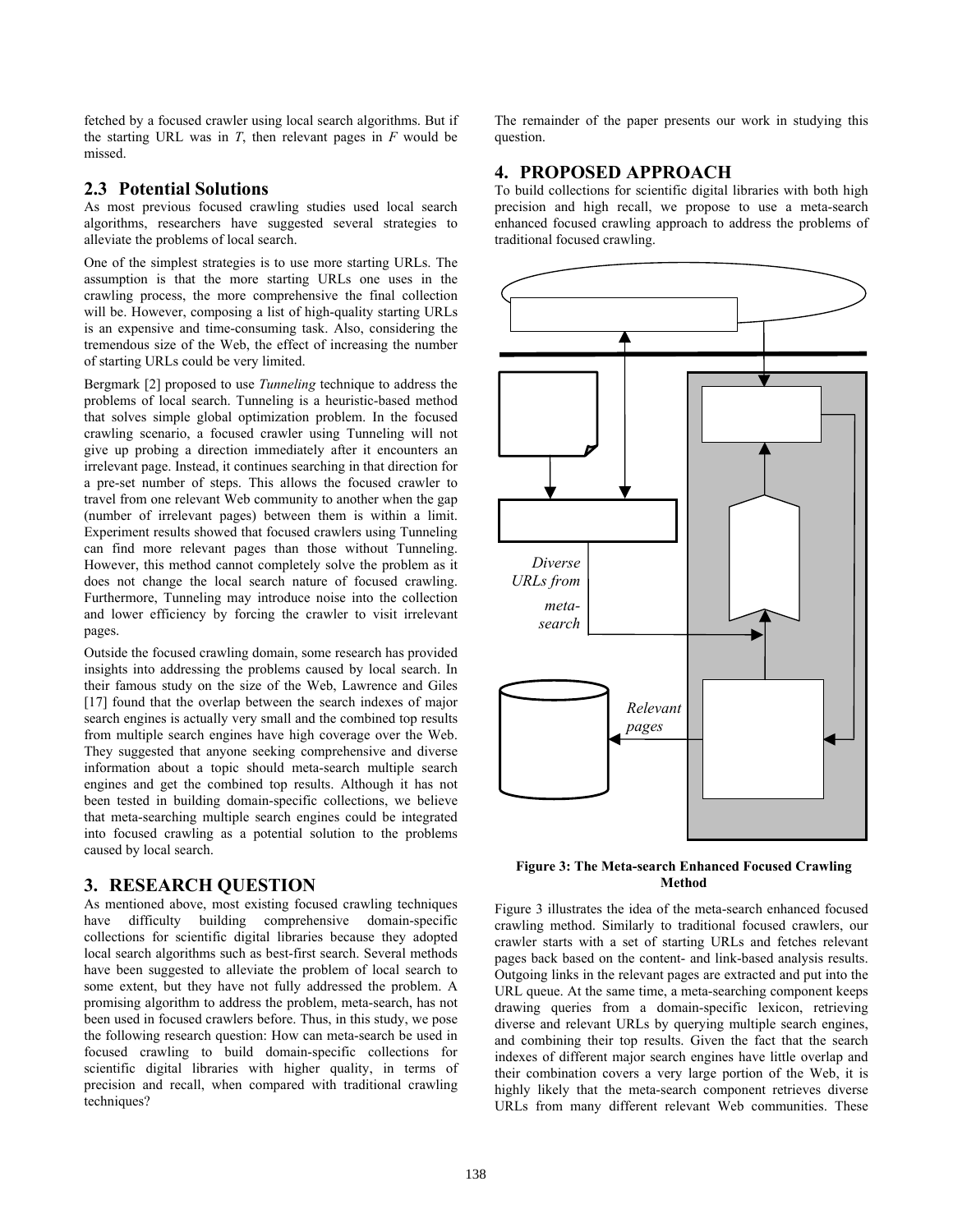fetched by a focused crawler using local search algorithms. But if the starting URL was in  $T$ , then relevant pages in  $F$  would be missed.

## **2.3 Potential Solutions**

As most previous focused crawling studies used local search algorithms, researchers have suggested several strategies to alleviate the problems of local search.

One of the simplest strategies is to use more starting URLs. The assumption is that the more starting URLs one uses in the crawling process, the more comprehensive the final collection will be. However, composing a list of high-quality starting URLs is an expensive and time-consuming task. Also, considering the tremendous size of the Web, the effect of increasing the number of starting URLs could be very limited.

Bergmark [2] proposed to use *Tunneling* technique to address the problems of local search. Tunneling is a heuristic-based method that solves simple global optimization problem. In the focused crawling scenario, a focused crawler using Tunneling will not give up probing a direction immediately after it encounters an irrelevant page. Instead, it continues searching in that direction for a pre-set number of steps. This allows the focused crawler to travel from one relevant Web community to another when the gap (number of irrelevant pages) between them is within a limit. Experiment results showed that focused crawlers using Tunneling can find more relevant pages than those without Tunneling. However, this method cannot completely solve the problem as it does not change the local search nature of focused crawling. Furthermore, Tunneling may introduce noise into the collection and lower efficiency by forcing the crawler to visit irrelevant pages.

Outside the focused crawling domain, some research has provided insights into addressing the problems caused by local search. In their famous study on the size of the Web, Lawrence and Giles [17] found that the overlap between the search indexes of major search engines is actually very small and the combined top results from multiple search engines have high coverage over the Web. They suggested that anyone seeking comprehensive and diverse information about a topic should meta-search multiple search engines and get the combined top results. Although it has not been tested in building domain-specific collections, we believe that meta-searching multiple search engines could be integrated into focused crawling as a potential solution to the problems caused by local search.

## **3. RESEARCH QUESTION**

As mentioned above, most existing focused crawling techniques have difficulty building comprehensive domain-specific collections for scientific digital libraries because they adopted local search algorithms such as best-first search. Several methods have been suggested to alleviate the problem of local search to some extent, but they have not fully addressed the problem. A promising algorithm to address the problem, meta-search, has not been used in focused crawlers before. Thus, in this study, we pose the following research question: How can meta-search be used in focused crawling to build domain-specific collections for scientific digital libraries with higher quality, in terms of precision and recall, when compared with traditional crawling techniques?

The remainder of the paper presents our work in studying this question.

## **4. PROPOSED APPROACH**

To build collections for scientific digital libraries with both high precision and high recall, we propose to use a meta-search enhanced focused crawling approach to address the problems of traditional focused crawling.



#### **Figure 3: The Meta-search Enhanced Focused Crawling Method**

Figure 3 illustrates the idea of the meta-search enhanced focused crawling method. Similarly to traditional focused crawlers, our crawler starts with a set of starting URLs and fetches relevant pages back based on the content- and link-based analysis results. Outgoing links in the relevant pages are extracted and put into the URL queue. At the same time, a meta-searching component keeps drawing queries from a domain-specific lexicon, retrieving diverse and relevant URLs by querying multiple search engines, and combining their top results. Given the fact that the search indexes of different major search engines have little overlap and their combination covers a very large portion of the Web, it is highly likely that the meta-search component retrieves diverse URLs from many different relevant Web communities. These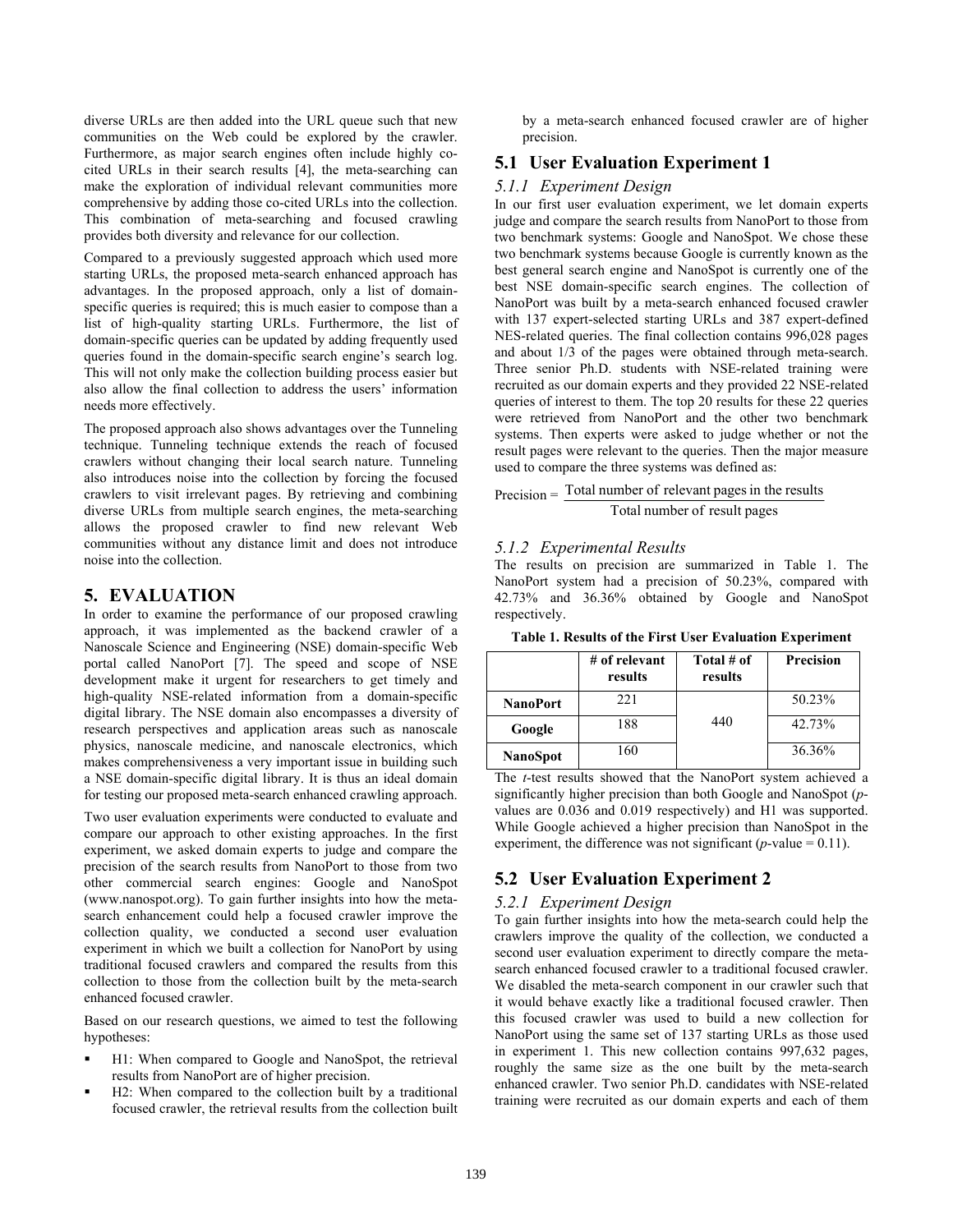diverse URLs are then added into the URL queue such that new communities on the Web could be explored by the crawler. Furthermore, as major search engines often include highly cocited URLs in their search results [4], the meta-searching can make the exploration of individual relevant communities more comprehensive by adding those co-cited URLs into the collection. This combination of meta-searching and focused crawling provides both diversity and relevance for our collection.

Compared to a previously suggested approach which used more starting URLs, the proposed meta-search enhanced approach has advantages. In the proposed approach, only a list of domainspecific queries is required; this is much easier to compose than a list of high-quality starting URLs. Furthermore, the list of domain-specific queries can be updated by adding frequently used queries found in the domain-specific search engine's search log. This will not only make the collection building process easier but also allow the final collection to address the users' information needs more effectively.

The proposed approach also shows advantages over the Tunneling technique. Tunneling technique extends the reach of focused crawlers without changing their local search nature. Tunneling also introduces noise into the collection by forcing the focused crawlers to visit irrelevant pages. By retrieving and combining diverse URLs from multiple search engines, the meta-searching allows the proposed crawler to find new relevant Web communities without any distance limit and does not introduce noise into the collection.

## **5. EVALUATION**

In order to examine the performance of our proposed crawling approach, it was implemented as the backend crawler of a Nanoscale Science and Engineering (NSE) domain-specific Web portal called NanoPort [7]. The speed and scope of NSE development make it urgent for researchers to get timely and high-quality NSE-related information from a domain-specific digital library. The NSE domain also encompasses a diversity of research perspectives and application areas such as nanoscale physics, nanoscale medicine, and nanoscale electronics, which makes comprehensiveness a very important issue in building such a NSE domain-specific digital library. It is thus an ideal domain for testing our proposed meta-search enhanced crawling approach.

Two user evaluation experiments were conducted to evaluate and compare our approach to other existing approaches. In the first experiment, we asked domain experts to judge and compare the precision of the search results from NanoPort to those from two other commercial search engines: Google and NanoSpot (www.nanospot.org). To gain further insights into how the metasearch enhancement could help a focused crawler improve the collection quality, we conducted a second user evaluation experiment in which we built a collection for NanoPort by using traditional focused crawlers and compared the results from this collection to those from the collection built by the meta-search enhanced focused crawler.

Based on our research questions, we aimed to test the following hypotheses:

- H1: When compared to Google and NanoSpot, the retrieval results from NanoPort are of higher precision.
- H2: When compared to the collection built by a traditional focused crawler, the retrieval results from the collection built

by a meta-search enhanced focused crawler are of higher precision.

# **5.1 User Evaluation Experiment 1**

## *5.1.1 Experiment Design*

In our first user evaluation experiment, we let domain experts judge and compare the search results from NanoPort to those from two benchmark systems: Google and NanoSpot. We chose these two benchmark systems because Google is currently known as the best general search engine and NanoSpot is currently one of the best NSE domain-specific search engines. The collection of NanoPort was built by a meta-search enhanced focused crawler with 137 expert-selected starting URLs and 387 expert-defined NES-related queries. The final collection contains 996,028 pages and about 1/3 of the pages were obtained through meta-search. Three senior Ph.D. students with NSE-related training were recruited as our domain experts and they provided 22 NSE-related queries of interest to them. The top 20 results for these 22 queries were retrieved from NanoPort and the other two benchmark systems. Then experts were asked to judge whether or not the result pages were relevant to the queries. Then the major measure used to compare the three systems was defined as:

 $Precision = Total number of relevant pages in the results$ Total number of result pages

## *5.1.2 Experimental Results*

The results on precision are summarized in Table 1. The NanoPort system had a precision of 50.23%, compared with 42.73% and 36.36% obtained by Google and NanoSpot respectively.

**Table 1. Results of the First User Evaluation Experiment** 

|                 | # of relevant<br>results | Total # of<br>results | <b>Precision</b> |
|-----------------|--------------------------|-----------------------|------------------|
| <b>NanoPort</b> | 22.1                     |                       | 50.23%           |
| Google          | 188                      | 440                   | 42.73%           |
| NanoSpot        | 160                      |                       | 36.36%           |

The *t*-test results showed that the NanoPort system achieved a significantly higher precision than both Google and NanoSpot (*p*values are 0.036 and 0.019 respectively) and H1 was supported. While Google achieved a higher precision than NanoSpot in the experiment, the difference was not significant ( $p$ -value = 0.11).

# **5.2 User Evaluation Experiment 2**

#### *5.2.1 Experiment Design*

To gain further insights into how the meta-search could help the crawlers improve the quality of the collection, we conducted a second user evaluation experiment to directly compare the metasearch enhanced focused crawler to a traditional focused crawler. We disabled the meta-search component in our crawler such that it would behave exactly like a traditional focused crawler. Then this focused crawler was used to build a new collection for NanoPort using the same set of 137 starting URLs as those used in experiment 1. This new collection contains 997,632 pages, roughly the same size as the one built by the meta-search enhanced crawler. Two senior Ph.D. candidates with NSE-related training were recruited as our domain experts and each of them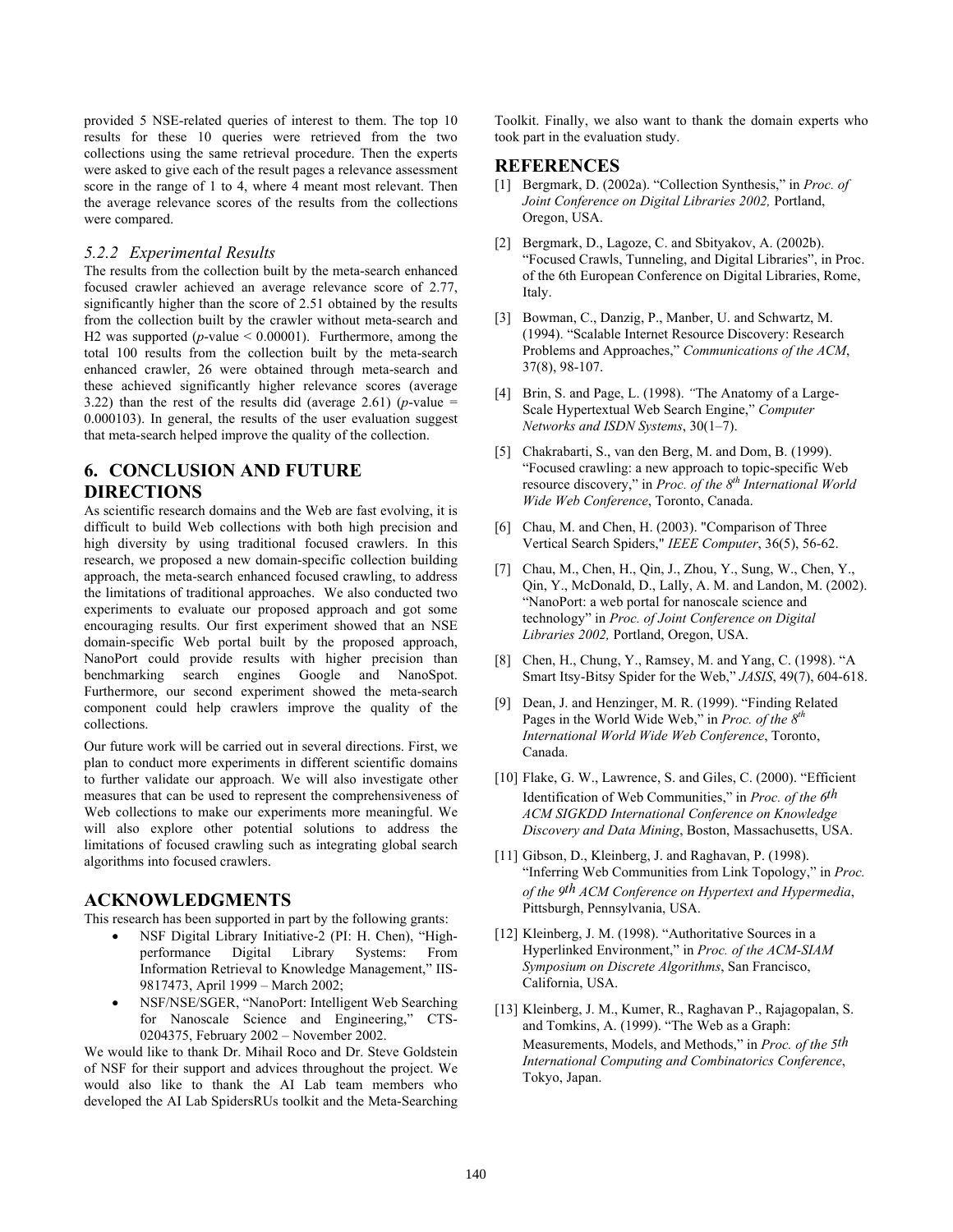provided 5 NSE-related queries of interest to them. The top 10 results for these 10 queries were retrieved from the two collections using the same retrieval procedure. Then the experts were asked to give each of the result pages a relevance assessment score in the range of 1 to 4, where 4 meant most relevant. Then the average relevance scores of the results from the collections were compared.

#### *5.2.2 Experimental Results*

The results from the collection built by the meta-search enhanced focused crawler achieved an average relevance score of 2.77, significantly higher than the score of 2.51 obtained by the results from the collection built by the crawler without meta-search and H2 was supported (*p*-value < 0.00001). Furthermore, among the total 100 results from the collection built by the meta-search enhanced crawler, 26 were obtained through meta-search and these achieved significantly higher relevance scores (average 3.22) than the rest of the results did (average 2.61) ( $p$ -value = 0.000103). In general, the results of the user evaluation suggest that meta-search helped improve the quality of the collection.

# **6. CONCLUSION AND FUTURE DIRECTIONS**

As scientific research domains and the Web are fast evolving, it is difficult to build Web collections with both high precision and high diversity by using traditional focused crawlers. In this research, we proposed a new domain-specific collection building approach, the meta-search enhanced focused crawling, to address the limitations of traditional approaches. We also conducted two experiments to evaluate our proposed approach and got some encouraging results. Our first experiment showed that an NSE domain-specific Web portal built by the proposed approach, NanoPort could provide results with higher precision than benchmarking search engines Google and NanoSpot. Furthermore, our second experiment showed the meta-search component could help crawlers improve the quality of the collections.

Our future work will be carried out in several directions. First, we plan to conduct more experiments in different scientific domains to further validate our approach. We will also investigate other measures that can be used to represent the comprehensiveness of Web collections to make our experiments more meaningful. We will also explore other potential solutions to address the limitations of focused crawling such as integrating global search algorithms into focused crawlers.

#### **ACKNOWLEDGMENTS**

This research has been supported in part by the following grants:

- NSF Digital Library Initiative-2 (PI: H. Chen), "Highperformance Digital Library Systems: From Information Retrieval to Knowledge Management," IIS-9817473, April 1999 – March 2002;
- NSF/NSE/SGER, "NanoPort: Intelligent Web Searching for Nanoscale Science and Engineering," CTS-0204375, February 2002 – November 2002.

We would like to thank Dr. Mihail Roco and Dr. Steve Goldstein of NSF for their support and advices throughout the project. We would also like to thank the AI Lab team members who developed the AI Lab SpidersRUs toolkit and the Meta-Searching

Toolkit. Finally, we also want to thank the domain experts who took part in the evaluation study.

#### **REFERENCES**

- [1] Bergmark, D. (2002a). "Collection Synthesis," in *Proc. of Joint Conference on Digital Libraries 2002,* Portland, Oregon, USA.
- [2] Bergmark, D., Lagoze, C. and Sbityakov, A. (2002b). "Focused Crawls, Tunneling, and Digital Libraries", in Proc. of the 6th European Conference on Digital Libraries, Rome, Italy.
- [3] Bowman, C., Danzig, P., Manber, U. and Schwartz, M. (1994). "Scalable Internet Resource Discovery: Research Problems and Approaches," *Communications of the ACM*, 37(8), 98-107.
- [4] Brin, S. and Page, L. (1998). *"*The Anatomy of a Large-Scale Hypertextual Web Search Engine," *Computer Networks and ISDN Systems*, 30(1–7).
- [5] Chakrabarti, S., van den Berg, M. and Dom, B. (1999). "Focused crawling: a new approach to topic-specific Web resource discovery," in *Proc. of the 8th International World Wide Web Conference*, Toronto, Canada.
- [6] Chau, M. and Chen, H. (2003). "Comparison of Three Vertical Search Spiders," *IEEE Computer*, 36(5), 56-62.
- [7] Chau, M., Chen, H., Qin, J., Zhou, Y., Sung, W., Chen, Y., Qin, Y., McDonald, D., Lally, A. M. and Landon, M. (2002). "NanoPort: a web portal for nanoscale science and technology" in *Proc. of Joint Conference on Digital Libraries 2002,* Portland, Oregon, USA.
- [8] Chen, H., Chung, Y., Ramsey, M. and Yang, C. (1998). "A Smart Itsy-Bitsy Spider for the Web," *JASIS*, 49(7), 604-618.
- [9] Dean, J. and Henzinger, M. R. (1999). "Finding Related Pages in the World Wide Web," in *Proc. of the 8th International World Wide Web Conference*, Toronto, Canada.
- [10] Flake, G. W., Lawrence, S. and Giles, C. (2000). "Efficient Identification of Web Communities," in *Proc. of the 6th ACM SIGKDD International Conference on Knowledge Discovery and Data Mining*, Boston, Massachusetts, USA.
- [11] Gibson, D., Kleinberg, J. and Raghavan, P. (1998). "Inferring Web Communities from Link Topology," in *Proc. of the 9th ACM Conference on Hypertext and Hypermedia*, Pittsburgh, Pennsylvania, USA.
- [12] Kleinberg, J. M. (1998). "Authoritative Sources in a Hyperlinked Environment," in *Proc. of the ACM-SIAM Symposium on Discrete Algorithms*, San Francisco, California, USA.
- [13] Kleinberg, J. M., Kumer, R., Raghavan P., Rajagopalan, S. and Tomkins, A. (1999). "The Web as a Graph: Measurements, Models, and Methods," in *Proc. of the 5th International Computing and Combinatorics Conference*, Tokyo, Japan.